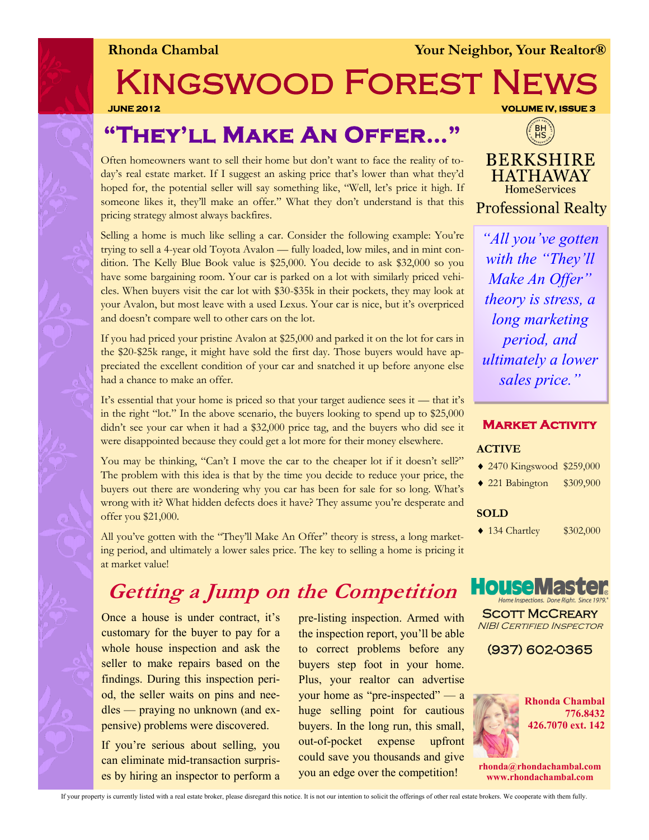**Rhonda Chambal Xour Neighbor, Your Realtor®** 

# KINGSWOOD FOREST NET

**JUNE 2012 VOLUME IV, ISSUE 3** 

### **"They'll Make An Offer…"**

Often homeowners want to sell their home but don't want to face the reality of today's real estate market. If I suggest an asking price that's lower than what they'd hoped for, the potential seller will say something like, "Well, let's price it high. If someone likes it, they'll make an offer." What they don't understand is that this pricing strategy almost always backfires.

Selling a home is much like selling a car. Consider the following example: You're trying to sell a 4-year old Toyota Avalon — fully loaded, low miles, and in mint condition. The Kelly Blue Book value is \$25,000. You decide to ask \$32,000 so you have some bargaining room. Your car is parked on a lot with similarly priced vehicles. When buyers visit the car lot with \$30-\$35k in their pockets, they may look at your Avalon, but most leave with a used Lexus. Your car is nice, but it's overpriced and doesn't compare well to other cars on the lot.

If you had priced your pristine Avalon at \$25,000 and parked it on the lot for cars in the \$20-\$25k range, it might have sold the first day. Those buyers would have appreciated the excellent condition of your car and snatched it up before anyone else had a chance to make an offer.

It's essential that your home is priced so that your target audience sees it — that it's in the right "lot." In the above scenario, the buyers looking to spend up to \$25,000 didn't see your car when it had a \$32,000 price tag, and the buyers who did see it were disappointed because they could get a lot more for their money elsewhere.

You may be thinking, "Can't I move the car to the cheaper lot if it doesn't sell?" The problem with this idea is that by the time you decide to reduce your price, the buyers out there are wondering why you car has been for sale for so long. What's wrong with it? What hidden defects does it have? They assume you're desperate and offer you \$21,000.

All you've gotten with the "They'll Make An Offer" theory is stress, a long marketing period, and ultimately a lower sales price. The key to selling a home is pricing it at market value!

### **Getting a Jump on the Competition**

Once a house is under contract, it's customary for the buyer to pay for a whole house inspection and ask the seller to make repairs based on the findings. During this inspection period, the seller waits on pins and needles — praying no unknown (and expensive) problems were discovered.

If you're serious about selling, you can eliminate mid-transaction surprises by hiring an inspector to perform a pre-listing inspection. Armed with the inspection report, you'll be able to correct problems before any buyers step foot in your home. Plus, your realtor can advertise your home as "pre-inspected" — a huge selling point for cautious buyers. In the long run, this small, out-of-pocket expense upfront could save you thousands and give you an edge over the competition!



**BERKSHIRE HATHAWAY HomeServices Professional Realty** 

*"All you've gotten with the "They'll Make An Offer" theory is stress, a long marketing period, and ultimately a lower sales price."* 

#### **Market Activity**

#### **ACTIVE**

- 2470 Kingswood \$259,000
- ◆ 221 Babington \$309,900

#### **SOLD**

• 134 Chartley \$302,000



SCOTT MCCREARY **NIBI CERTIFIED INSPECTOR** 

(937) 602-0365



**rhonda@rhondachambal.com www.rhondachambal.com**

If your property is currently listed with a real estate broker, please disregard this notice. It is not our intention to solicit the offerings of other real estate brokers. We cooperate with them fully.